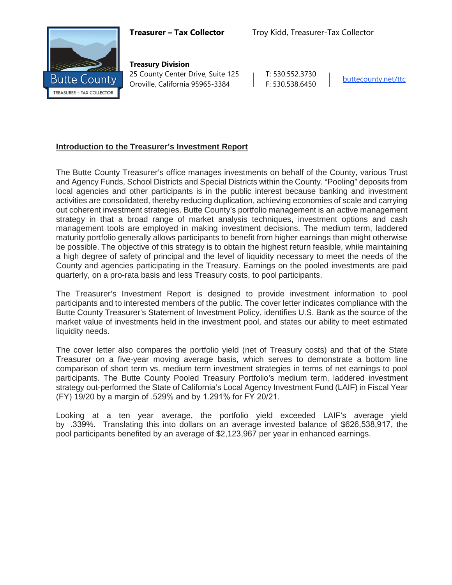

**Treasury Division** 25 County Center Drive, Suite 125 Oroville, California 95965-3384

T: 530.552.3730 F: 530.538.6450 [buttecounty.net/t](http://www.buttecounty.net/administration)tc

## **Introduction to the Treasurer's Investment Report**

The Butte County Treasurer's office manages investments on behalf of the County, various Trust and Agency Funds, School Districts and Special Districts within the County. "Pooling" deposits from local agencies and other participants is in the public interest because banking and investment activities are consolidated, thereby reducing duplication, achieving economies of scale and carrying out coherent investment strategies. Butte County's portfolio management is an active management strategy in that a broad range of market analysis techniques, investment options and cash management tools are employed in making investment decisions. The medium term, laddered maturity portfolio generally allows participants to benefit from higher earnings than might otherwise be possible. The objective of this strategy is to obtain the highest return feasible, while maintaining a high degree of safety of principal and the level of liquidity necessary to meet the needs of the County and agencies participating in the Treasury. Earnings on the pooled investments are paid quarterly, on a pro-rata basis and less Treasury costs, to pool participants.

The Treasurer's Investment Report is designed to provide investment information to pool participants and to interested members of the public. The cover letter indicates compliance with the Butte County Treasurer's Statement of Investment Policy, identifies U.S. Bank as the source of the market value of investments held in the investment pool, and states our ability to meet estimated liquidity needs.

The cover letter also compares the portfolio yield (net of Treasury costs) and that of the State Treasurer on a five-year moving average basis, which serves to demonstrate a bottom line comparison of short term vs. medium term investment strategies in terms of net earnings to pool participants. The Butte County Pooled Treasury Portfolio's medium term, laddered investment strategy out-performed the State of California's Local Agency Investment Fund (LAIF) in Fiscal Year (FY) 19/20 by a margin of .529% and by 1.291% for FY 20/21.

Looking at a ten year average, the portfolio yield exceeded LAIF's average yield by .339%. Translating this into dollars on an average invested balance of \$626,538,917, the pool participants benefited by an average of \$2,123,967 per year in enhanced earnings.